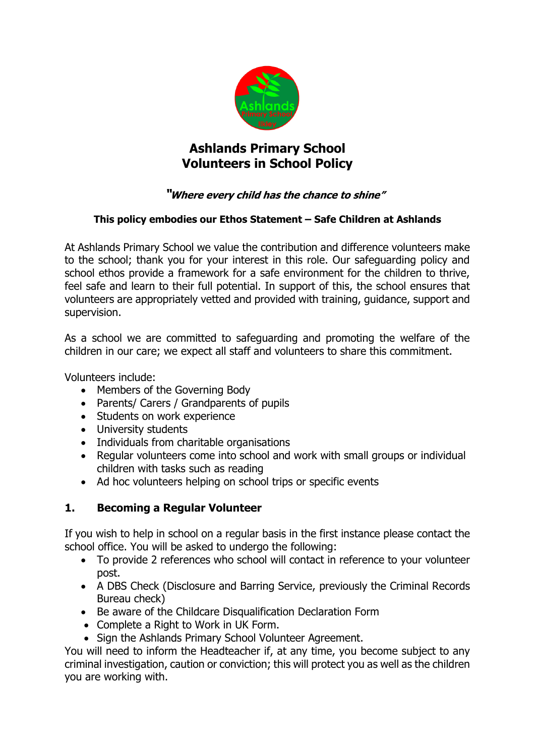

# **Ashlands Primary School Volunteers in School Policy**

# **"Where every child has the chance to shine"**

#### **This policy embodies our Ethos Statement – Safe Children at Ashlands**

At Ashlands Primary School we value the contribution and difference volunteers make to the school; thank you for your interest in this role. Our safeguarding policy and school ethos provide a framework for a safe environment for the children to thrive, feel safe and learn to their full potential. In support of this, the school ensures that volunteers are appropriately vetted and provided with training, guidance, support and supervision.

As a school we are committed to safeguarding and promoting the welfare of the children in our care; we expect all staff and volunteers to share this commitment.

Volunteers include:

- Members of the Governing Body
- Parents/ Carers / Grandparents of pupils
- Students on work experience
- University students
- Individuals from charitable organisations
- Regular volunteers come into school and work with small groups or individual children with tasks such as reading
- Ad hoc volunteers helping on school trips or specific events

# **1. Becoming a Regular Volunteer**

If you wish to help in school on a regular basis in the first instance please contact the school office. You will be asked to undergo the following:

- To provide 2 references who school will contact in reference to your volunteer post.
- A DBS Check (Disclosure and Barring Service, previously the Criminal Records Bureau check)
- Be aware of the Childcare Disqualification Declaration Form
- Complete a Right to Work in UK Form.
- Sign the Ashlands Primary School Volunteer Agreement.

You will need to inform the Headteacher if, at any time, you become subject to any criminal investigation, caution or conviction; this will protect you as well as the children you are working with.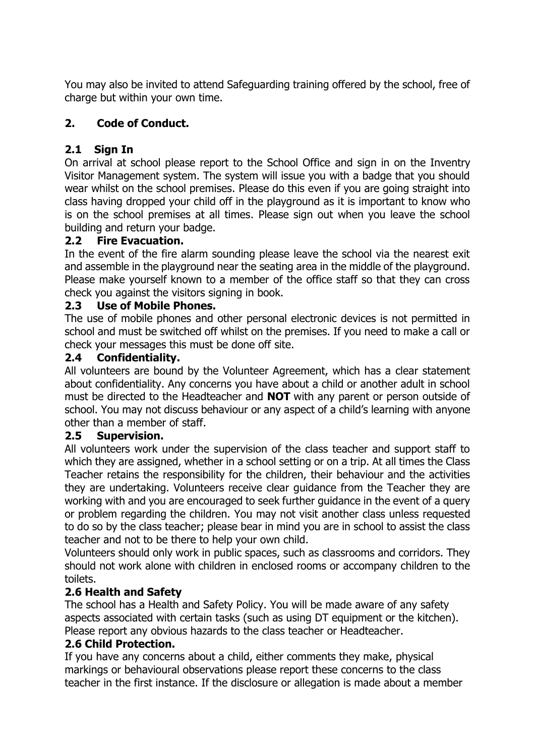You may also be invited to attend Safeguarding training offered by the school, free of charge but within your own time.

# **2. Code of Conduct.**

# **2.1 Sign In**

On arrival at school please report to the School Office and sign in on the Inventry Visitor Management system. The system will issue you with a badge that you should wear whilst on the school premises. Please do this even if you are going straight into class having dropped your child off in the playground as it is important to know who is on the school premises at all times. Please sign out when you leave the school building and return your badge.

# **2.2 Fire Evacuation.**

In the event of the fire alarm sounding please leave the school via the nearest exit and assemble in the playground near the seating area in the middle of the playground. Please make yourself known to a member of the office staff so that they can cross check you against the visitors signing in book.

### **2.3 Use of Mobile Phones.**

The use of mobile phones and other personal electronic devices is not permitted in school and must be switched off whilst on the premises. If you need to make a call or check your messages this must be done off site.

#### **2.4 Confidentiality.**

All volunteers are bound by the Volunteer Agreement, which has a clear statement about confidentiality. Any concerns you have about a child or another adult in school must be directed to the Headteacher and **NOT** with any parent or person outside of school. You may not discuss behaviour or any aspect of a child's learning with anyone other than a member of staff.

#### **2.5 Supervision.**

All volunteers work under the supervision of the class teacher and support staff to which they are assigned, whether in a school setting or on a trip. At all times the Class Teacher retains the responsibility for the children, their behaviour and the activities they are undertaking. Volunteers receive clear guidance from the Teacher they are working with and you are encouraged to seek further guidance in the event of a query or problem regarding the children. You may not visit another class unless requested to do so by the class teacher; please bear in mind you are in school to assist the class teacher and not to be there to help your own child.

Volunteers should only work in public spaces, such as classrooms and corridors. They should not work alone with children in enclosed rooms or accompany children to the toilets.

#### **2.6 Health and Safety**

The school has a Health and Safety Policy. You will be made aware of any safety aspects associated with certain tasks (such as using DT equipment or the kitchen). Please report any obvious hazards to the class teacher or Headteacher.

#### **2.6 Child Protection.**

If you have any concerns about a child, either comments they make, physical markings or behavioural observations please report these concerns to the class teacher in the first instance. If the disclosure or allegation is made about a member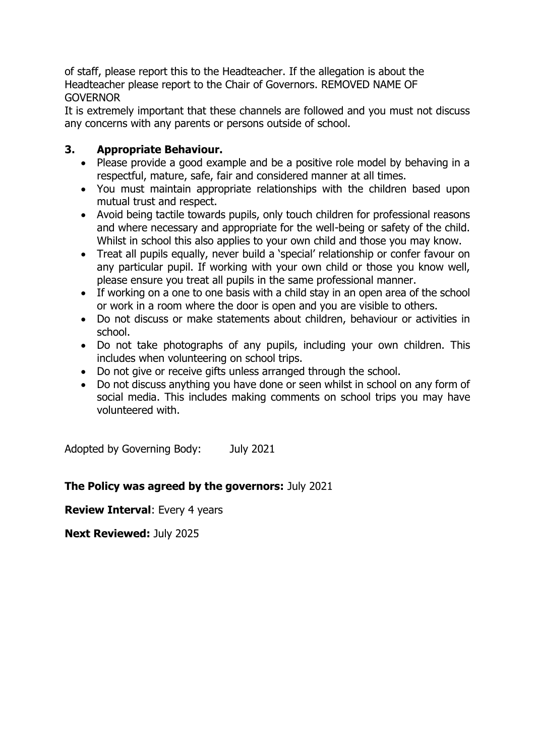of staff, please report this to the Headteacher. If the allegation is about the Headteacher please report to the Chair of Governors. REMOVED NAME OF **GOVERNOR** 

It is extremely important that these channels are followed and you must not discuss any concerns with any parents or persons outside of school.

### **3. Appropriate Behaviour.**

- Please provide a good example and be a positive role model by behaving in a respectful, mature, safe, fair and considered manner at all times.
- You must maintain appropriate relationships with the children based upon mutual trust and respect.
- Avoid being tactile towards pupils, only touch children for professional reasons and where necessary and appropriate for the well-being or safety of the child. Whilst in school this also applies to your own child and those you may know.
- Treat all pupils equally, never build a 'special' relationship or confer favour on any particular pupil. If working with your own child or those you know well, please ensure you treat all pupils in the same professional manner.
- If working on a one to one basis with a child stay in an open area of the school or work in a room where the door is open and you are visible to others.
- Do not discuss or make statements about children, behaviour or activities in school.
- Do not take photographs of any pupils, including your own children. This includes when volunteering on school trips.
- Do not give or receive gifts unless arranged through the school.
- Do not discuss anything you have done or seen whilst in school on any form of social media. This includes making comments on school trips you may have volunteered with.

Adopted by Governing Body: July 2021

#### **The Policy was agreed by the governors:** July 2021

**Review Interval**: Every 4 years

**Next Reviewed:** July 2025